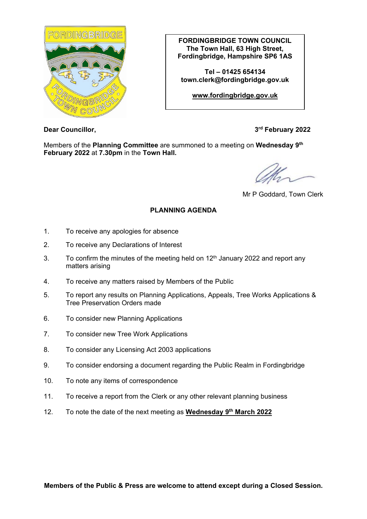

**FORDINGBRIDGE TOWN COUNCIL The Town Hall, 63 High Street, Fordingbridge, Hampshire SP6 1AS**

**Tel – 01425 654134 town.clerk@fordingbridge.gov.uk**

**[www.fordingbridge.gov.uk](http://www.fordingbridge.gov.uk/)**

**Dear Councillor, 3rd February** 2022

Members of the **Planning Committee** are summoned to a meeting on **Wednesday 9th February 2022** at **7.30pm** in the **Town Hall.**

Mr P Goddard, Town Clerk

# **PLANNING AGENDA**

- 1. To receive any apologies for absence
- 2. To receive any Declarations of Interest
- 3. To confirm the minutes of the meeting held on  $12<sup>th</sup>$  January 2022 and report any matters arising
- 4. To receive any matters raised by Members of the Public
- 5. To report any results on Planning Applications, Appeals, Tree Works Applications & Tree Preservation Orders made
- 6. To consider new Planning Applications
- 7. To consider new Tree Work Applications
- 8. To consider any Licensing Act 2003 applications
- 9. To consider endorsing a document regarding the Public Realm in Fordingbridge
- 10. To note any items of correspondence
- 11. To receive a report from the Clerk or any other relevant planning business
- 12. To note the date of the next meeting as **Wednesday 9th March 2022**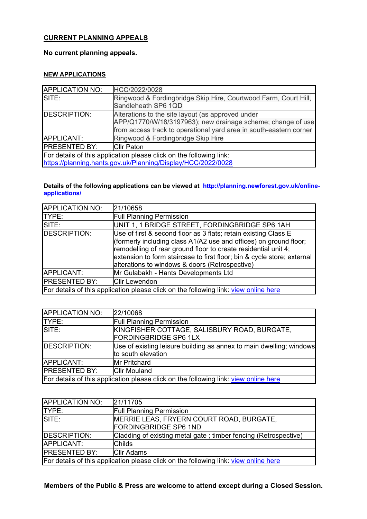## **CURRENT PLANNING APPEALS**

#### **No current planning appeals.**

### **NEW APPLICATIONS**

| <b>APPLICATION NO:</b>                                                                                                              | HCC/2022/0028                                                                                                                                                                          |
|-------------------------------------------------------------------------------------------------------------------------------------|----------------------------------------------------------------------------------------------------------------------------------------------------------------------------------------|
| SITE:                                                                                                                               | Ringwood & Fordingbridge Skip Hire, Courtwood Farm, Court Hill,<br>Sandleheath SP6 1QD                                                                                                 |
| DESCRIPTION:                                                                                                                        | Alterations to the site layout (as approved under<br>APP/Q1770/W/18/3197963); new drainage scheme; change of use<br>from access track to operational yard area in south-eastern corner |
| APPLICANT:                                                                                                                          | Ringwood & Fordingbridge Skip Hire                                                                                                                                                     |
| <b>IPRESENTED BY:</b>                                                                                                               | <b>Cllr Paton</b>                                                                                                                                                                      |
| For details of this application please click on the following link:<br>https://planning.hants.gov.uk/Planning/Display/HCC/2022/0028 |                                                                                                                                                                                        |

#### **Details of the following applications can be viewed at [http://planning.newforest.gov.uk/online](http://planning.newforest.gov.uk/online-applications/)[applications/](http://planning.newforest.gov.uk/online-applications/)**

| <b>APPLICATION NO:</b> | 21/10658                                                                                                                                                                                                                                                                                                                            |
|------------------------|-------------------------------------------------------------------------------------------------------------------------------------------------------------------------------------------------------------------------------------------------------------------------------------------------------------------------------------|
| TYPE:                  | <b>Full Planning Permission</b>                                                                                                                                                                                                                                                                                                     |
| SITE:                  | UNIT 1, 1 BRIDGE STREET, FORDINGBRIDGE SP6 1AH                                                                                                                                                                                                                                                                                      |
| DESCRIPTION:           | Use of first & second floor as 3 flats; retain existing Class E<br>(formerly including class A1/A2 use and offices) on ground floor;<br>remodelling of rear ground floor to create residential unit 4;<br>extension to form staircase to first floor; bin & cycle store; external<br>alterations to windows & doors (Retrospective) |
| APPLICANT:             | Mr Gulabakh - Hants Developments Ltd                                                                                                                                                                                                                                                                                                |
| <b>PRESENTED BY:</b>   | <b>Cllr Lewendon</b>                                                                                                                                                                                                                                                                                                                |
|                        | For details of this application please click on the following link: view online here                                                                                                                                                                                                                                                |

| <b>APPLICATION NO:</b>                                                               | 22/10068                                                                                  |
|--------------------------------------------------------------------------------------|-------------------------------------------------------------------------------------------|
| <b>TYPE:</b>                                                                         | <b>Full Planning Permission</b>                                                           |
| SITE:                                                                                | KINGFISHER COTTAGE, SALISBURY ROAD, BURGATE,<br><b>FORDINGBRIDGE SP6 1LX</b>              |
| DESCRIPTION:                                                                         | Use of existing leisure building as annex to main dwelling; windows<br>to south elevation |
| APPLICANT:                                                                           | <b>Mr Pritchard</b>                                                                       |
| <b>PRESENTED BY:</b>                                                                 | <b>Cllr Mouland</b>                                                                       |
| For details of this application please click on the following link: view online here |                                                                                           |

| APPLICATION NO:                                                                      | 21/11705                                                          |
|--------------------------------------------------------------------------------------|-------------------------------------------------------------------|
| TYPE:                                                                                | <b>Full Planning Permission</b>                                   |
| SITE:                                                                                | MERRIE LEAS, FRYERN COURT ROAD, BURGATE,<br>FORDINGBRIDGE SP6 1ND |
| DESCRIPTION:                                                                         | Cladding of existing metal gate; timber fencing (Retrospective)   |
| APPLICANT:                                                                           | <b>Childs</b>                                                     |
| <b>PRESENTED BY:</b>                                                                 | <b>Cllr Adams</b>                                                 |
| For details of this application please click on the following link: view online here |                                                                   |